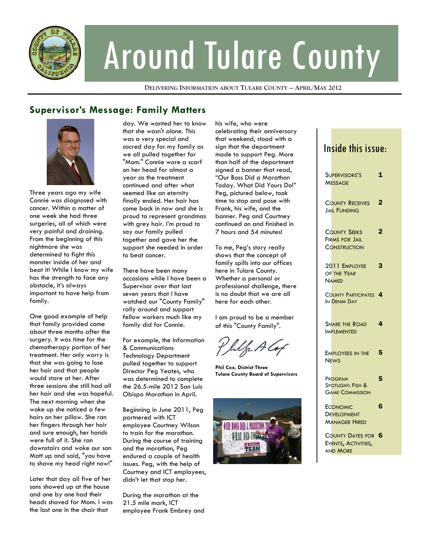

# Around Tulare County

**DELIVERING INFORMATION ABOUT TULARE COUNTY — APRIL/MAY 2012**

## **Supervisor's Message: Family Matters**



Three years ago my wife Connie was diagnosed with cancer. Within a matter of one week she had three surgeries, all of which were very painful and draining. From the beginning of this nightmare she was determined to fight this monster inside of her and beat it! While I know my wife has the strength to face any obstacle, it's always important to have help from family.

One good example of help that family provided came about three months after the surgery. It was time for the chemotherapy portion of her treatment. Her only worry is that she was going to lose her hair and that people would stare at her. After three sessions she still had all her hair and she was hopeful. The next morning when she woke up she noticed a few hairs on her pillow. She ran her fingers through her hair and sure enough, her hands were full of it. She ran downstairs and woke our son Matt up and said, "you have to shave my head right now!"

Later that day all five of her sons showed up at the house and one by one had their heads shaved for Mom. I was the last one in the chair that

day. We wanted her to know that she wasn't alone. This was a very special and sacred day for my family as we all pulled together for "Mom." Connie wore a scarf on her head for almost a year as the treatment continued and after what seemed like an eternity finally ended. Her hair has come back in now and she is proud to represent grandmas with grey hair. I'm proud to say our family pulled together and gave her the support she needed in order to beat cancer.

There have been many occasions while I have been a Supervisor over that last seven years that I have watched our "County Family" rally around and support fellow workers much like my family did for Connie.

For example, the Information & Communications Technology Department pulled together to support Director Peg Yeates, who was determined to complete the 26.5-mile 2012 San Luis Obispo Marathon in April.

Beginning in June 2011, Peg partnered with ICT employee Courtney Wilson to train for the marathon. During the course of training and the marathon, Peg endured a couple of health issues. Peg, with the help of Courtney and ICT employees, didn't let that stop her.

During the marathon at the 21.5 mile mark, ICT employee Frank Embrey and his wife, who were celebrating their anniversary that weekend, stood with a sign that the department made to support Peg. More than half of the department signed a banner that read, "Our Boss Did a Marathon Today. What Did Yours Do!" Peg, pictured below, took time to stop and pose with Frank, his wife, and the banner. Peg and Courtney continued on and finished in 7 hours and 54 minutes!

To me, Peg's story really shows that the concept of family spills into our offices here in Tulare County. Whether a personal or professional challenge, there is no doubt that we are all here for each other.

I am proud to be a member of this "County Family".

**Phil Cox, District Three Tulare County Board of Supervisors** 



## Inside this issue:

| SUPERVISORS'S<br><b>MESSAGE</b>                                     | $\mathbf{1}$   |
|---------------------------------------------------------------------|----------------|
| <b>COUNTY RECEIVES</b><br><b>JAIL FUNDING</b>                       | $\overline{2}$ |
| <b>COUNTY SEEKS</b><br><b>FIRMS FOR JAIL</b><br><b>CONSTRUCTION</b> | 2              |
| 2011 EMPLOYEE<br>OF THE YEAR<br><b>NAMED</b>                        | 3              |
| COUNTY PARTICIPATES 4<br>IN DENIM DAY                               |                |
| SHARE THE ROAD<br><b>IMPLEMENTED</b>                                | 4              |
| EMPLOYEES IN THE<br><b>NEWS</b>                                     | 5              |
| PROGRAM<br>SPOTLIGHT: FISH &<br><b>GAME COMMISSION</b>              | 5              |
| <b>ECONOMIC</b><br><b>DEVELOPMENT</b><br><b>MANAGER HIRED</b>       | 6              |
| COUNTY DATES FOR 6<br>EVENTS, ACTIVITIES,<br><b>AND MORE</b>        |                |
|                                                                     |                |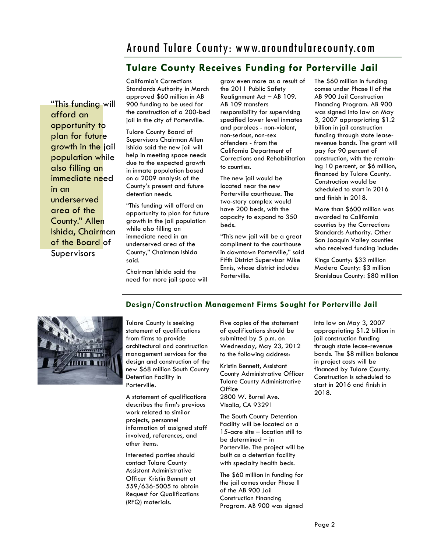## Around Tulare County: www.aroundtularecounty.com

## **Tulare County Receives Funding for Porterville Jail**

"This funding will afford an opportunity to plan for future growth in the jail population while also filling an immediate need in an underserved area of the County." Allen Ishida, Chairman of the Board of Supervisors

California's Corrections Standards Authority in March approved \$60 million in AB 900 funding to be used for the construction of a 200-bed jail in the city of Porterville.

Tulare County Board of Supervisors Chairman Allen Ishida said the new jail will help in meeting space needs due to the expected growth in inmate population based on a 2009 analysis of the County's present and future detention needs.

"This funding will afford an opportunity to plan for future growth in the jail population while also filling an immediate need in an underserved area of the County," Chairman Ishida said.

Chairman Ishida said the need for more jail space will grow even more as a result of the 2011 Public Safety Realignment Act – AB 109. AB 109 transfers responsibility for supervising specified lower level inmates and parolees - non-violent, non-serious, non-sex offenders - from the California Department of Corrections and Rehabilitation to counties.

The new jail would be located near the new Porterville courthouse. The two-story complex would have 200 beds, with the capacity to expand to 350 beds.

"This new jail will be a great compliment to the courthouse in downtown Porterville," said Fifth District Supervisor Mike Ennis, whose district includes Porterville.

The \$60 million in funding comes under Phase II of the AB 900 Jail Construction Financing Program. AB 900 was signed into law on May 3, 2007 appropriating \$1.2 billion in jail construction funding through state leaserevenue bonds. The grant will pay for 90 percent of construction, with the remaining 10 percent, or \$6 million, financed by Tulare County. Construction would be scheduled to start in 2016 and finish in 2018.

More than \$600 million was awarded to California counties by the Corrections Standards Authority. Other San Joaquin Valley counties who received funding include:

Kings County: \$33 million Madera County: \$3 million Stanislaus County: \$80 million



Tulare County is seeking statement of qualifications from firms to provide architectural and construction management services for the design and construction of the new \$68 million South County Detention Facility in Porterville.

A statement of qualifications describes the firm's previous work related to similar projects, personnel information of assigned staff involved, references, and other items.

Interested parties should contact Tulare County Assistant Administrative Officer Kristin Bennett at 559/636-5005 to obtain Request for Qualifications (RFQ) materials.

Five copies of the statement of qualifications should be submitted by 5 p.m. on Wednesday, May 23, 2012 to the following address:

**Design/Construction Management Firms Sought for Porterville Jail** 

Kristin Bennett, Assistant County Administrative Officer Tulare County Administrative **Office** 2800 W. Burrel Ave. Visalia, CA 93291

The South County Detention Facility will be located on a 15-acre site – location still to be determined – in Porterville. The project will be built as a detention facility with specialty health beds.

The \$60 million in funding for the jail comes under Phase II of the AB 900 Jail Construction Financing Program. AB 900 was signed into law on May 3, 2007 appropriating \$1.2 billion in jail construction funding through state lease-revenue bonds. The \$8 million balance in project costs will be financed by Tulare County. Construction is scheduled to start in 2016 and finish in 2018.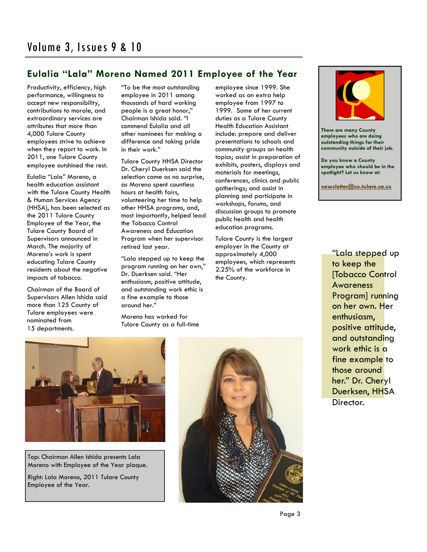## **Eulalia "Lala" Moreno Named 2011 Employee of the Year**

Productivity, efficiency, high performance, willingness to accept new responsibility, contributions to morale, and extraordinary services are attributes that more than 4,000 Tulare County employees strive to achieve when they report to work. In 2011, one Tulare County employee outshined the rest.

Eulalia "Lala" Moreno, a health education assistant with the Tulare County Health & Human Services Agency (HHSA), has been selected as the 2011 Tulare County Employee of the Year, the Tulare County Board of Supervisors announced in March. The majority of Moreno's work is spent educating Tulare County residents about the negative impacts of tobacco.

Chairman of the Board of Supervisors Allen Ishida said more than 125 County of Tulare employees were nominated from 15 departments.

"To be the most outstanding employee in 2011 among thousands of hard working people is a great honor," Chairman Ishida said. "I commend Eulalia and all other nominees for making a difference and taking pride in their work."

Tulare County HHSA Director Dr. Cheryl Duerksen said the selection came as no surprise, as Moreno spent countless hours at health fairs, volunteering her time to help other HHSA programs, and, most importantly, helped lead the Tobacco Control Awareness and Education Program when her supervisor retired last year.

"Lala stepped up to keep the program running on her own," Dr. Duerksen said. "Her enthusiasm, positive attitude, and outstanding work ethic is a fine example to those around her."

Moreno has worked for Tulare County as a full-time employee since 1999. She worked as an extra help employee from 1997 to 1999. Some of her current duties as a Tulare County Health Education Assistant include: prepare and deliver presentations to schools and community groups on health topics; assist in preparation of exhibits, posters, displays and materials for meetings, conferences, clinics and public gatherings; and assist in planning and participate in workshops, forums, and discussion groups to promote public health and health education programs.

Tulare County is the largest employer in the County at approximately 4,000 employees, which represents 2.25% of the workforce in the County.



**There are many County employees who are doing outstanding things for their community outside of their job.** 

**Do you know a County employee who should be in the spotlight? Let us know at:** 

**newsletter@co.tulare.ca.us**

"Lala stepped up to keep the [Tobacco Control Awareness Program] running on her own. Her enthusiasm, positive attitude, and outstanding work ethic is a fine example to those around her." Dr. Cheryl Duerksen, HHSA Director.



Top: Chairman Allen Ishida presents Lala Moreno with Employee of the Year plaque.

Right: Lala Moreno, 2011 Tulare County Employee of the Year.

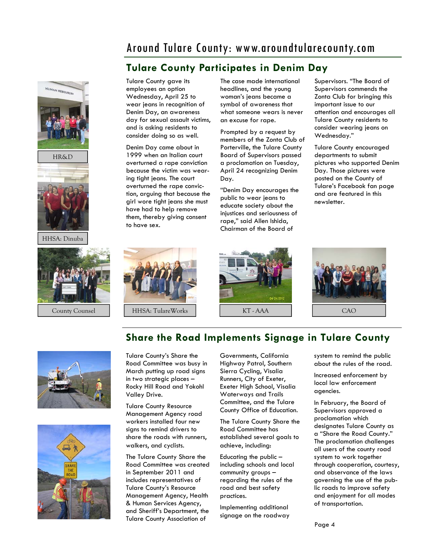## Around Tulare County: www.aroundtularecounty.com

## **Tulare County Participates in Denim Day**



HHSA: Dinuba



Tulare County gave its employees an option Wednesday, April 25 to wear jeans in recognition of Denim Day, an awareness day for sexual assault victims, and is asking residents to consider doing so as well.

Denim Day came about in 1999 when an Italian court overturned a rape conviction because the victim was wearing tight jeans. The court overturned the rape conviction, arguing that because the girl wore tight jeans she must have had to help remove them, thereby giving consent to have sex.

The case made international headlines, and the young woman's jeans became a symbol of awareness that what someone wears is never an excuse for rape.

Prompted by a request by members of the Zonta Club of Porterville, the Tulare County Board of Supervisors passed a proclamation on Tuesday, April 24 recognizing Denim Day.

"Denim Day encourages the public to wear jeans to educate society about the injustices and seriousness of rape," said Allen Ishida, Chairman of the Board of

Supervisors. "The Board of Supervisors commends the Zonta Club for bringing this important issue to our attention and encourages all Tulare County residents to consider wearing jeans on Wednesday."

Tulare County encouraged departments to submit pictures who supported Denim Day. Those pictures were posted on the County of Tulare's Facebook fan page and are featured in this newsletter.







## **Share the Road Implements Signage in Tulare County**





Tulare County's Share the Road Committee was busy in March putting up road signs in two strategic places – Rocky Hill Road and Yokohl Valley Drive.

Tulare County Resource Management Agency road workers installed four new signs to remind drivers to share the roads with runners, walkers, and cyclists.

The Tulare County Share the Road Committee was created in September 2011 and includes representatives of Tulare County's Resource Management Agency, Health & Human Services Agency, and Sheriff's Department, the Tulare County Association of

Governments, California Highway Patrol, Southern Sierra Cycling, Visalia Runners, City of Exeter, Exeter High School, Visalia Waterways and Trails Committee, and the Tulare County Office of Education.

The Tulare County Share the Road Committee has established several goals to achieve, including:

Educating the public – including schools and local community groups – regarding the rules of the road and best safety practices.

Implementing additional signage on the roadway system to remind the public about the rules of the road.

Increased enforcement by local law enforcement agencies.

In February, the Board of Supervisors approved a proclamation which designates Tulare County as a "Share the Road County." The proclamation challenges all users of the county road system to work together through cooperation, courtesy, and observance of the laws governing the use of the public roads to improve safety and enjoyment for all modes of transportation.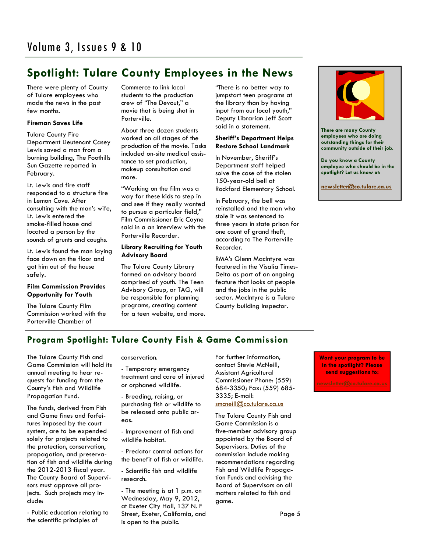## **Spotlight: Tulare County Employees in the News**

There were plenty of County of Tulare employees who made the news in the past few months.

#### **Fireman Saves Life**

Tulare County Fire Department Lieutenant Casey Lewis saved a man from a burning building, The Foothills Sun Gazette reported in February.

Lt. Lewis and fire staff responded to a structure fire in Lemon Cove. After consulting with the man's wife, Lt. Lewis entered the smoke-filled house and located a person by the sounds of grunts and coughs.

Lt. Lewis found the man laying face down on the floor and got him out of the house safely.

#### **Film Commission Provides Opportunity for Youth**

The Tulare County Film Commission worked with the Porterville Chamber of

Commerce to link local students to the production crew of "The Devout," a movie that is being shot in Porterville.

About three dozen students worked on all stages of the production of the movie. Tasks included on-site medical assistance to set production, makeup consultation and more.

"Working on the film was a way for these kids to step in and see if they really wanted to pursue a particular field," Film Commissioner Eric Coyne said in a an interview with the Porterville Recorder.

#### **Library Recruiting for Youth Advisory Board**

The Tulare County Library formed an advisory board comprised of youth. The Teen Advisory Group, or TAG, will be responsible for planning programs, creating content for a teen website, and more. "There is no better way to jumpstart teen programs at the library than by having input from our local youth," Deputy Librarian Jeff Scott said in a statement.

#### **Sheriff's Department Helps Restore School Landmark**

In November, Sheriff's Department staff helped solve the case of the stolen 150-year-old bell at Rockford Elementary School.

In February, the bell was reinstalled and the man who stole it was sentenced to three years in state prison for one count of grand theft, according to The Porterville Recorder.

RMA's Glenn MacIntyre was featured in the Visalia Times-Delta as part of an ongoing feature that looks at people and the jobs in the public sector. MacIntyre is a Tulare County building inspector.



**There are many County employees who are doing outstanding things for their community outside of their job.** 

**Do you know a County employee who should be in the spotlight? Let us know at:** 

**newsletter@co.tulare.ca.us**

## **Program Spotlight: Tulare County Fish & Game Commission**

The Tulare County Fish and Game Commission will hold its annual meeting to hear requests for funding from the County's Fish and Wildlife Propagation Fund.

The funds, derived from Fish and Game fines and forfeitures imposed by the court system, are to be expended solely for projects related to the protection, conservation, propagation, and preservation of fish and wildlife during the 2012-2013 fiscal year. The County Board of Supervisors must approve all projects. Such projects may include:

- Public education relating to the scientific principles of

conservation.

- Temporary emergency treatment and care of injured or orphaned wildlife.

- Breeding, raising, or purchasing fish or wildlife to be released onto public areas.

- Improvement of fish and wildlife habitat.

- Predator control actions for the benefit of fish or wildlife.

- Scientific fish and wildlife research.

- The meeting is at 1 p.m. on Wednesday, May 9, 2012, at Exeter City Hall, 137 N. F Street, Exeter, California, and is open to the public.

For further information, contact Stevie McNeill, Assistant Agricultural Commissioner Phone: (559) 684-3350; Fax: (559) 685- 3335; E-mail: smcneill@co.tulare.ca.us

The Tulare County Fish and Game Commission is a five-member advisory group appointed by the Board of Supervisors. Duties of the commission include making recommendations regarding Fish and Wildlife Propagation Funds and advising the Board of Supervisors on all matters related to fish and game.

**Want your program to be in the spotlight? Please send suggestions to:**